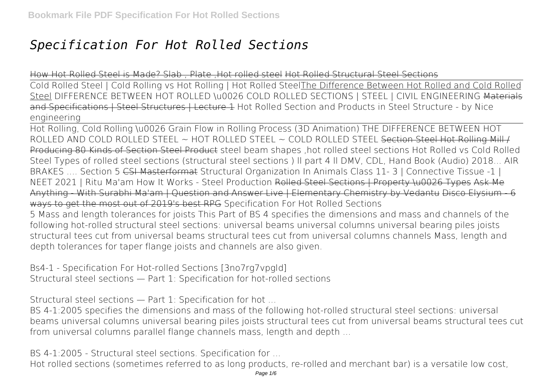## *Specification For Hot Rolled Sections*

How Hot Rolled Steel is Made? Slab , Plate ,Hot rolled steel Hot Rolled Structural Steel Sections

Cold Rolled Steel | Cold Rolling vs Hot Rolling | Hot Rolled SteelThe Difference Between Hot Rolled and Cold Rolled Steel **DIFFERENCE BETWEEN HOT ROLLED \u0026 COLD ROLLED SECTIONS | STEEL | CIVIL ENGINEERING** Materials and Specifications | Steel Structures | Lecture 1 *Hot Rolled Section and Products in Steel Structure - by Nice engineering*

Hot Rolling, Cold Rolling \u0026 Grain Flow in Rolling Process (3D Animation) THE DIFFERENCE BETWEEN HOT ROLLED AND COLD ROLLED STEEL ~ HOT ROLLED STEEL ~ COLD ROLLED STEEL Section Steel Hot Rolling Mill / Producing 80 Kinds of Section Steel Product **steel beam shapes ,hot rolled steel sections** *Hot Rolled vs Cold Rolled Steel* **Types of rolled steel sections (structural steel sections ) ll part 4 ll DMV, CDL, Hand Book (Audio) 2018... AIR BRAKES .... Section 5** CSI Masterformat Structural Organization In Animals Class 11- 3 | Connective Tissue -1 | NEET 2021 | Ritu Ma'am How It Works - Steel Production Rolled Steel Sections | Property \u0026 Types Ask Me Anything - With Surabhi Ma'am | Question and Answer Live | Elementary Chemistry by Vedantu Disco Elysium - 6 ways to get the most out of 2019's best RPG **Specification For Hot Rolled Sections** 5 Mass and length tolerances for joists This Part of BS 4 specifies the dimensions and mass and channels of the following hot-rolled structural steel sections: universal beams universal columns universal bearing piles joists

structural tees cut from universal beams structural tees cut from universal columns channels Mass, length and depth tolerances for taper flange joists and channels are also given.

**Bs4-1 - Specification For Hot-rolled Sections [3no7rg7vpgld]** Structural steel sections — Part 1: Specification for hot-rolled sections

**Structural steel sections — Part 1: Specification for hot ...**

BS 4-1:2005 specifies the dimensions and mass of the following hot-rolled structural steel sections: universal beams universal columns universal bearing piles joists structural tees cut from universal beams structural tees cut from universal columns parallel flange channels mass, length and depth ...

**BS 4-1:2005 - Structural steel sections. Specification for ...**

Hot rolled sections (sometimes referred to as long products, re-rolled and merchant bar) is a versatile low cost,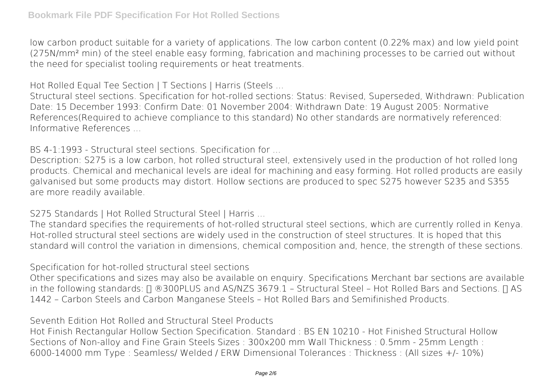low carbon product suitable for a variety of applications. The low carbon content (0.22% max) and low yield point (275N/mm² min) of the steel enable easy forming, fabrication and machining processes to be carried out without the need for specialist tooling requirements or heat treatments.

**Hot Rolled Equal Tee Section | T Sections | Harris (Steels ...**

Structural steel sections. Specification for hot-rolled sections: Status: Revised, Superseded, Withdrawn: Publication Date: 15 December 1993: Confirm Date: 01 November 2004: Withdrawn Date: 19 August 2005: Normative References(Required to achieve compliance to this standard) No other standards are normatively referenced: Informative References ...

**BS 4-1:1993 - Structural steel sections. Specification for ...**

Description: S275 is a low carbon, hot rolled structural steel, extensively used in the production of hot rolled long products. Chemical and mechanical levels are ideal for machining and easy forming. Hot rolled products are easily galvanised but some products may distort. Hollow sections are produced to spec S275 however S235 and S355 are more readily available.

**S275 Standards | Hot Rolled Structural Steel | Harris ...**

The standard specifies the requirements of hot-rolled structural steel sections, which are currently rolled in Kenya. Hot-rolled structural steel sections are widely used in the construction of steel structures. It is hoped that this standard will control the variation in dimensions, chemical composition and, hence, the strength of these sections.

**Specification for hot-rolled structural steel sections**

Other specifications and sizes may also be available on enquiry. Specifications Merchant bar sections are available in the following standards:  $\Box$  ®300PLUS and AS/NZS 3679.1 – Structural Steel – Hot Rolled Bars and Sections.  $\Box$  AS 1442 – Carbon Steels and Carbon Manganese Steels – Hot Rolled Bars and Semifinished Products.

**Seventh Edition Hot Rolled and Structural Steel Products**

Hot Finish Rectangular Hollow Section Specification. Standard : BS EN 10210 - Hot Finished Structural Hollow Sections of Non-alloy and Fine Grain Steels Sizes : 300x200 mm Wall Thickness : 0.5mm - 25mm Length : 6000-14000 mm Type : Seamless/ Welded / ERW Dimensional Tolerances : Thickness : (All sizes +/- 10%)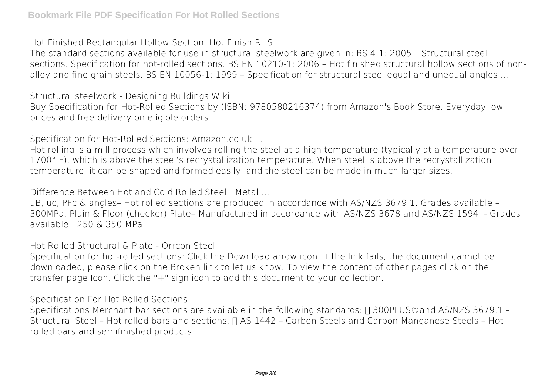**Hot Finished Rectangular Hollow Section, Hot Finish RHS ...**

The standard sections available for use in structural steelwork are given in: BS 4-1: 2005 – Structural steel sections. Specification for hot-rolled sections. BS EN 10210-1: 2006 – Hot finished structural hollow sections of nonalloy and fine grain steels. BS EN 10056-1: 1999 – Specification for structural steel equal and unequal angles ...

**Structural steelwork - Designing Buildings Wiki** Buy Specification for Hot-Rolled Sections by (ISBN: 9780580216374) from Amazon's Book Store. Everyday low prices and free delivery on eligible orders.

**Specification for Hot-Rolled Sections: Amazon.co.uk ...**

Hot rolling is a mill process which involves rolling the steel at a high temperature (typically at a temperature over 1700° F), which is above the steel's recrystallization temperature. When steel is above the recrystallization temperature, it can be shaped and formed easily, and the steel can be made in much larger sizes.

**Difference Between Hot and Cold Rolled Steel | Metal ...**

uB, uc, PFc & angles– Hot rolled sections are produced in accordance with AS/NZS 3679.1. Grades available – 300MPa. Plain & Floor (checker) Plate– Manufactured in accordance with AS/NZS 3678 and AS/NZS 1594. - Grades available - 250 & 350 MPa.

**Hot Rolled Structural & Plate - Orrcon Steel**

Specification for hot-rolled sections: Click the Download arrow icon. If the link fails, the document cannot be downloaded, please click on the Broken link to let us know. To view the content of other pages click on the transfer page Icon. Click the "+" sign icon to add this document to your collection.

**Specification For Hot Rolled Sections**

Specifications Merchant bar sections are available in the following standards:  $\Box$  300PLUS® and AS/NZS 3679.1 – Structural Steel - Hot rolled bars and sections.  $\Box$  AS 1442 - Carbon Steels and Carbon Manganese Steels - Hot rolled bars and semifinished products.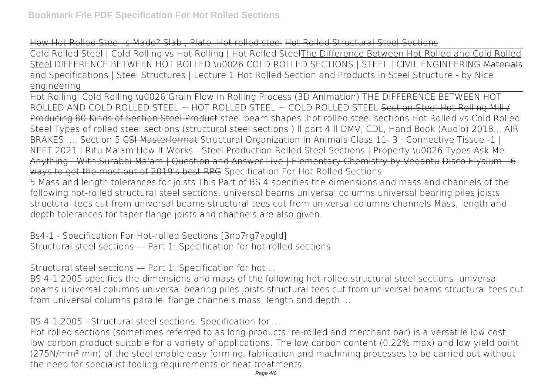## How Hot Rolled Steel is Made? Slab , Plate, Hot rolled steel Hot Rolled Structural Steel Sections

Cold Rolled Steel | Cold Rolling vs Hot Rolling | Hot Rolled SteelThe Difference Between Hot Rolled and Cold Rolled Steel **DIFFERENCE BETWEEN HOT ROLLED \u0026 COLD ROLLED SECTIONS | STEEL | CIVIL ENGINEERING** Materials and Specifications | Steel Structures | Lecture 1 *Hot Rolled Section and Products in Steel Structure - by Nice engineering*

Hot Rolling, Cold Rolling \u0026 Grain Flow in Rolling Process (3D Animation) THE DIFFERENCE BETWEEN HOT ROLLED AND COLD ROLLED STEEL ~ HOT ROLLED STEEL ~ COLD ROLLED STEEL Section Steel Hot Rolling Mill / Producing 80 Kinds of Section Steel Product **steel beam shapes ,hot rolled steel sections** *Hot Rolled vs Cold Rolled Steel* **Types of rolled steel sections (structural steel sections ) ll part 4 ll DMV, CDL, Hand Book (Audio) 2018... AIR BRAKES .... Section 5** CSI Masterformat Structural Organization In Animals Class 11- 3 | Connective Tissue -1 | NEET 2021 | Ritu Ma'am How It Works - Steel Production Rolled Steel Sections | Property \u0026 Types Ask Me Anything - With Surabhi Ma'am | Question and Answer Live | Elementary Chemistry by Vedantu Disco Elysium - 6 ways to get the most out of 2019's best RPG **Specification For Hot Rolled Sections**

5 Mass and length tolerances for joists This Part of BS 4 specifies the dimensions and mass and channels of the following hot-rolled structural steel sections: universal beams universal columns universal bearing piles joists structural tees cut from universal beams structural tees cut from universal columns channels Mass, length and depth tolerances for taper flange joists and channels are also given.

**Bs4-1 - Specification For Hot-rolled Sections [3no7rg7vpgld]** Structural steel sections — Part 1: Specification for hot-rolled sections

**Structural steel sections — Part 1: Specification for hot ...**

BS 4-1:2005 specifies the dimensions and mass of the following hot-rolled structural steel sections: universal beams universal columns universal bearing piles joists structural tees cut from universal beams structural tees cut from universal columns parallel flange channels mass, length and depth ...

**BS 4-1:2005 - Structural steel sections. Specification for ...**

Hot rolled sections (sometimes referred to as long products, re-rolled and merchant bar) is a versatile low cost, low carbon product suitable for a variety of applications. The low carbon content (0.22% max) and low yield point (275N/mm² min) of the steel enable easy forming, fabrication and machining processes to be carried out without the need for specialist tooling requirements or heat treatments.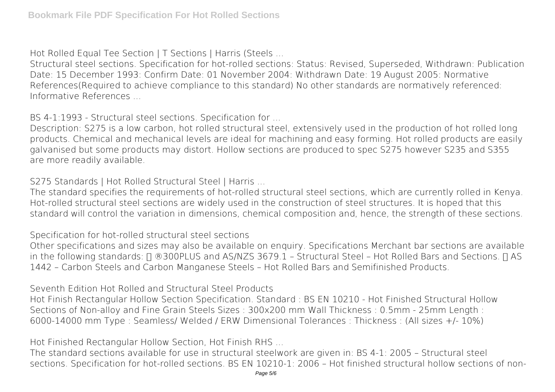**Hot Rolled Equal Tee Section | T Sections | Harris (Steels ...**

Structural steel sections. Specification for hot-rolled sections: Status: Revised, Superseded, Withdrawn: Publication Date: 15 December 1993: Confirm Date: 01 November 2004: Withdrawn Date: 19 August 2005: Normative References(Required to achieve compliance to this standard) No other standards are normatively referenced: Informative References ...

**BS 4-1:1993 - Structural steel sections. Specification for ...**

Description: S275 is a low carbon, hot rolled structural steel, extensively used in the production of hot rolled long products. Chemical and mechanical levels are ideal for machining and easy forming. Hot rolled products are easily galvanised but some products may distort. Hollow sections are produced to spec S275 however S235 and S355 are more readily available.

**S275 Standards | Hot Rolled Structural Steel | Harris ...**

The standard specifies the requirements of hot-rolled structural steel sections, which are currently rolled in Kenya. Hot-rolled structural steel sections are widely used in the construction of steel structures. It is hoped that this standard will control the variation in dimensions, chemical composition and, hence, the strength of these sections.

**Specification for hot-rolled structural steel sections**

Other specifications and sizes may also be available on enquiry. Specifications Merchant bar sections are available in the following standards:  $\Box$  ®300PLUS and AS/NZS 3679.1 – Structural Steel – Hot Rolled Bars and Sections.  $\Box$  AS 1442 – Carbon Steels and Carbon Manganese Steels – Hot Rolled Bars and Semifinished Products.

**Seventh Edition Hot Rolled and Structural Steel Products**

Hot Finish Rectangular Hollow Section Specification. Standard : BS EN 10210 - Hot Finished Structural Hollow Sections of Non-alloy and Fine Grain Steels Sizes : 300x200 mm Wall Thickness : 0.5mm - 25mm Length : 6000-14000 mm Type : Seamless/ Welded / ERW Dimensional Tolerances : Thickness : (All sizes +/- 10%)

**Hot Finished Rectangular Hollow Section, Hot Finish RHS ...**

The standard sections available for use in structural steelwork are given in: BS 4-1: 2005 – Structural steel sections. Specification for hot-rolled sections. BS EN 10210-1: 2006 – Hot finished structural hollow sections of non